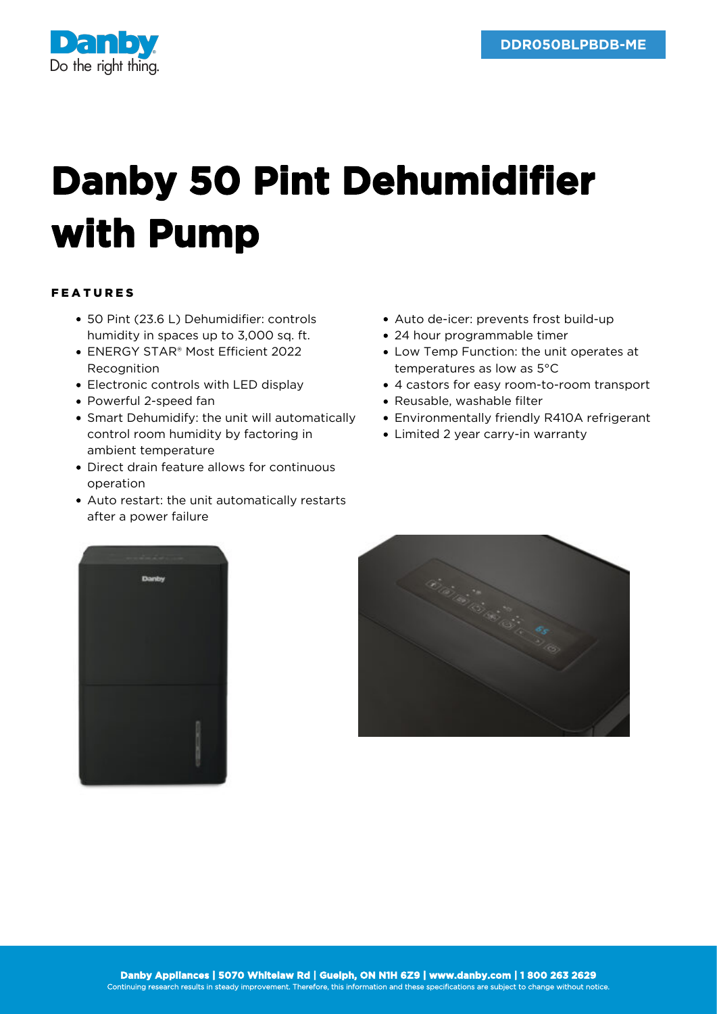

## **Danby 50 Pint Dehumidifier with Pump**

## FEATURES

- 50 Pint (23.6 L) Dehumidifier: controls humidity in spaces up to 3,000 sq. ft.
- ENERGY STAR® Most Efficient 2022 Recognition
- Electronic controls with LED display
- Powerful 2-speed fan
- Smart Dehumidify: the unit will automatically control room humidity by factoring in ambient temperature
- Direct drain feature allows for continuous operation
- Auto restart: the unit automatically restarts after a power failure
- Auto de-icer: prevents frost build-up
- 24 hour programmable timer
- Low Temp Function: the unit operates at temperatures as low as 5°C
- 4 castors for easy room-to-room transport
- Reusable, washable filter
- Environmentally friendly R410A refrigerant
- Limited 2 year carry-in warranty